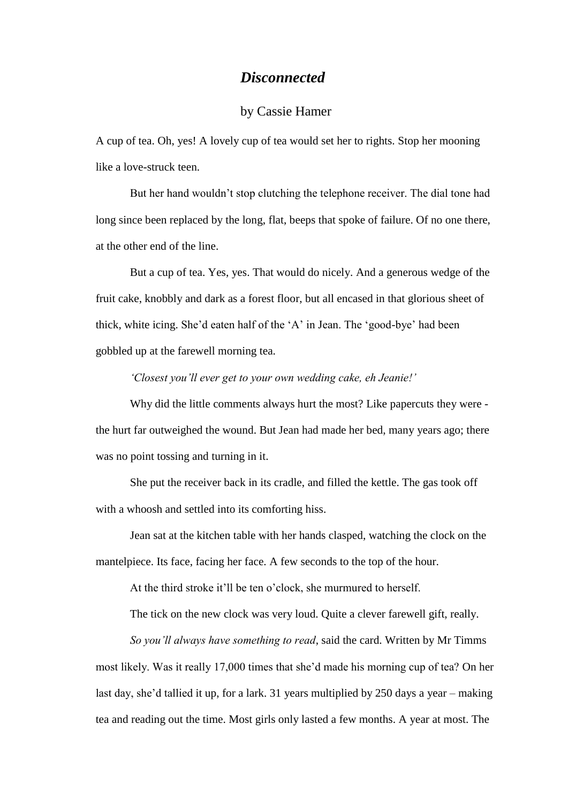## *Disconnected*

## by Cassie Hamer

A cup of tea. Oh, yes! A lovely cup of tea would set her to rights. Stop her mooning like a love-struck teen.

But her hand wouldn't stop clutching the telephone receiver. The dial tone had long since been replaced by the long, flat, beeps that spoke of failure. Of no one there, at the other end of the line.

But a cup of tea. Yes, yes. That would do nicely. And a generous wedge of the fruit cake, knobbly and dark as a forest floor, but all encased in that glorious sheet of thick, white icing. She'd eaten half of the 'A' in Jean. The 'good-bye' had been gobbled up at the farewell morning tea.

*'Closest you'll ever get to your own wedding cake, eh Jeanie!'*

Why did the little comments always hurt the most? Like papercuts they were the hurt far outweighed the wound. But Jean had made her bed, many years ago; there was no point tossing and turning in it.

She put the receiver back in its cradle, and filled the kettle. The gas took off with a whoosh and settled into its comforting hiss.

Jean sat at the kitchen table with her hands clasped, watching the clock on the mantelpiece. Its face, facing her face. A few seconds to the top of the hour.

At the third stroke it'll be ten o'clock, she murmured to herself.

The tick on the new clock was very loud. Quite a clever farewell gift, really.

*So you'll always have something to read*, said the card. Written by Mr Timms most likely. Was it really 17,000 times that she'd made his morning cup of tea? On her last day, she'd tallied it up, for a lark. 31 years multiplied by 250 days a year – making tea and reading out the time. Most girls only lasted a few months. A year at most. The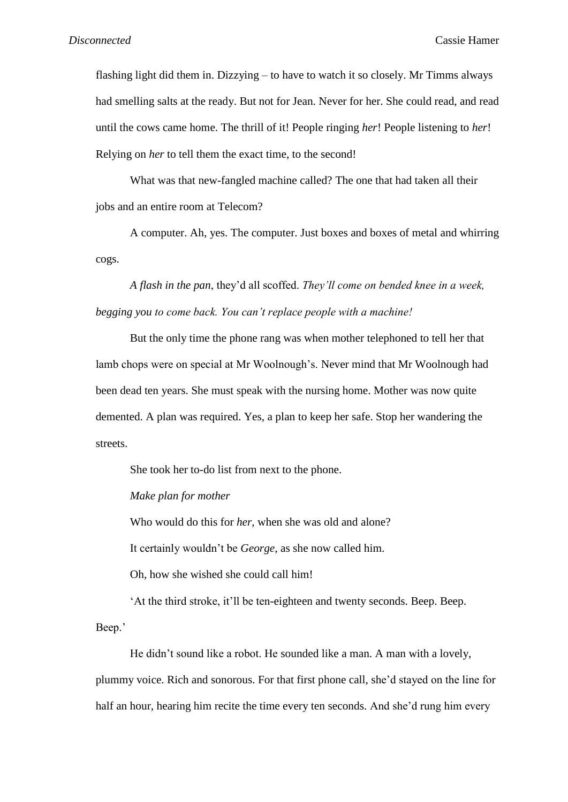flashing light did them in. Dizzying – to have to watch it so closely. Mr Timms always had smelling salts at the ready. But not for Jean. Never for her. She could read, and read until the cows came home. The thrill of it! People ringing *her*! People listening to *her*! Relying on *her* to tell them the exact time, to the second!

What was that new-fangled machine called? The one that had taken all their jobs and an entire room at Telecom?

A computer. Ah, yes. The computer. Just boxes and boxes of metal and whirring cogs.

*A flash in the pan*, they'd all scoffed. *They'll come on bended knee in a week, begging you to come back. You can't replace people with a machine!*

But the only time the phone rang was when mother telephoned to tell her that lamb chops were on special at Mr Woolnough's. Never mind that Mr Woolnough had been dead ten years. She must speak with the nursing home. Mother was now quite demented. A plan was required. Yes, a plan to keep her safe. Stop her wandering the streets.

She took her to-do list from next to the phone.

*Make plan for mother*

Who would do this for *her*, when she was old and alone?

It certainly wouldn't be *George*, as she now called him.

Oh, how she wished she could call him!

'At the third stroke, it'll be ten-eighteen and twenty seconds. Beep. Beep.

Beep.'

He didn't sound like a robot. He sounded like a man. A man with a lovely, plummy voice. Rich and sonorous. For that first phone call, she'd stayed on the line for half an hour, hearing him recite the time every ten seconds. And she'd rung him every